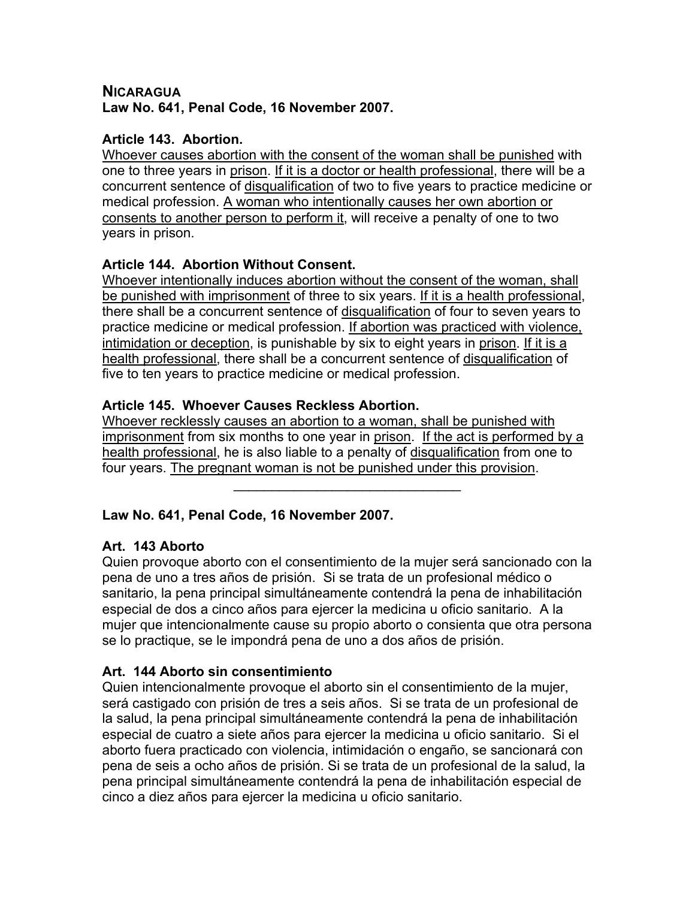#### **NICARAGUA Law No. 641, Penal Code, 16 November 2007.**

### **Article 143. Abortion.**

Whoever causes abortion with the consent of the woman shall be punished with one to three years in prison. If it is a doctor or health professional, there will be a concurrent sentence of disqualification of two to five years to practice medicine or medical profession. A woman who intentionally causes her own abortion or consents to another person to perform it, will receive a penalty of one to two years in prison.

### **Article 144. Abortion Without Consent.**

Whoever intentionally induces abortion without the consent of the woman, shall be punished with imprisonment of three to six years. If it is a health professional, there shall be a concurrent sentence of disqualification of four to seven years to practice medicine or medical profession. If abortion was practiced with violence, intimidation or deception, is punishable by six to eight years in prison. If it is a health professional, there shall be a concurrent sentence of disqualification of five to ten years to practice medicine or medical profession.

### **Article 145. Whoever Causes Reckless Abortion.**

Whoever recklessly causes an abortion to a woman, shall be punished with imprisonment from six months to one year in prison. If the act is performed by a health professional, he is also liable to a penalty of disqualification from one to four years. The pregnant woman is not be punished under this provision.

 $\mathcal{L}_\text{max}$  and  $\mathcal{L}_\text{max}$  and  $\mathcal{L}_\text{max}$  and  $\mathcal{L}_\text{max}$ 

# **Law No. 641, Penal Code, 16 November 2007.**

# **Art. 143 Aborto**

Quien provoque aborto con el consentimiento de la mujer será sancionado con la pena de uno a tres años de prisión. Si se trata de un profesional médico o sanitario, la pena principal simultáneamente contendrá la pena de inhabilitación especial de dos a cinco años para ejercer la medicina u oficio sanitario. A la mujer que intencionalmente cause su propio aborto o consienta que otra persona se lo practique, se le impondrá pena de uno a dos años de prisión.

# **Art. 144 Aborto sin consentimiento**

Quien intencionalmente provoque el aborto sin el consentimiento de la mujer, será castigado con prisión de tres a seis años. Si se trata de un profesional de la salud, la pena principal simultáneamente contendrá la pena de inhabilitación especial de cuatro a siete años para ejercer la medicina u oficio sanitario. Si el aborto fuera practicado con violencia, intimidación o engaño, se sancionará con pena de seis a ocho años de prisión. Si se trata de un profesional de la salud, la pena principal simultáneamente contendrá la pena de inhabilitación especial de cinco a diez años para ejercer la medicina u oficio sanitario.